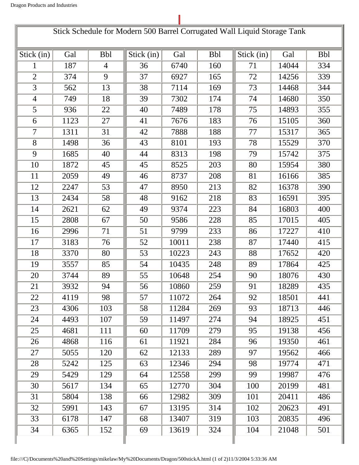|                |      |                |            |       |            | Stick Schedule for Modern 500 Barrel Corrugated Wall Liquid Storage Tank |       |            |
|----------------|------|----------------|------------|-------|------------|--------------------------------------------------------------------------|-------|------------|
| Stick (in)     | Gal  | <b>Bbl</b>     | Stick (in) | Gal   | <b>Bbl</b> | Stick (in)                                                               | Gal   | <b>Bbl</b> |
| 1              | 187  | $\overline{4}$ | 36         | 6740  | 160        | 71                                                                       | 14044 | 334        |
| $\overline{2}$ | 374  | 9              | 37         | 6927  | 165        | 72                                                                       | 14256 | 339        |
| 3              | 562  | 13             | 38         | 7114  | 169        | 73                                                                       | 14468 | 344        |
| $\overline{4}$ | 749  | 18             | 39         | 7302  | 174        | 74                                                                       | 14680 | 350        |
| 5              | 936  | 22             | 40         | 7489  | 178        | 75                                                                       | 14893 | 355        |
| 6              | 1123 | 27             | 41         | 7676  | 183        | 76                                                                       | 15105 | 360        |
| 7              | 1311 | 31             | 42         | 7888  | 188        | 77                                                                       | 15317 | 365        |
| 8              | 1498 | 36             | 43         | 8101  | 193        | 78                                                                       | 15529 | 370        |
| 9              | 1685 | 40             | 44         | 8313  | 198        | 79                                                                       | 15742 | 375        |
| 10             | 1872 | 45             | 45         | 8525  | 203        | 80                                                                       | 15954 | 380        |
| 11             | 2059 | 49             | 46         | 8737  | 208        | 81                                                                       | 16166 | 385        |
| 12             | 2247 | 53             | 47         | 8950  | 213        | 82                                                                       | 16378 | 390        |
| 13             | 2434 | 58             | 48         | 9162  | 218        | 83                                                                       | 16591 | 395        |
| 14             | 2621 | 62             | 49         | 9374  | 223        | 84                                                                       | 16803 | 400        |
| 15             | 2808 | 67             | 50         | 9586  | 228        | 85                                                                       | 17015 | 405        |
| 16             | 2996 | 71             | 51         | 9799  | 233        | 86                                                                       | 17227 | 410        |
| 17             | 3183 | 76             | 52         | 10011 | 238        | 87                                                                       | 17440 | 415        |
| 18             | 3370 | 80             | 53         | 10223 | 243        | 88                                                                       | 17652 | 420        |
| 19             | 3557 | 85             | 54         | 10435 | 248        | 89                                                                       | 17864 | 425        |
| 20             | 3744 | 89             | 55         | 10648 | 254        | 90                                                                       | 18076 | 430        |
| 21             | 3932 | 94             | 56         | 10860 | 259        | 91                                                                       | 18289 | 435        |
| 22             | 4119 | 98             | 57         | 11072 | 264        | 92                                                                       | 18501 | 441        |
| 23             | 4306 | 103            | 58         | 11284 | 269        | 93                                                                       | 18713 | 446        |
| 24             | 4493 | 107            | 59         | 11497 | 274        | 94                                                                       | 18925 | 451        |
| 25             | 4681 | 111            | 60         | 11709 | 279        | 95                                                                       | 19138 | 456        |
| 26             | 4868 | 116            | 61         | 11921 | 284        | 96                                                                       | 19350 | 461        |
| 27             | 5055 | 120            | 62         | 12133 | 289        | 97                                                                       | 19562 | 466        |
| 28             | 5242 | 125            | 63         | 12346 | 294        | 98                                                                       | 19774 | 471        |
| 29             | 5429 | 129            | 64         | 12558 | 299        | 99                                                                       | 19987 | 476        |
| 30             | 5617 | 134            | 65         | 12770 | 304        | 100                                                                      | 20199 | 481        |
| 31             | 5804 | 138            | 66         | 12982 | 309        | 101                                                                      | 20411 | 486        |
| 32             | 5991 | 143            | 67         | 13195 | 314        | 102                                                                      | 20623 | 491        |
| 33             | 6178 | 147            | 68         | 13407 | 319        | 103                                                                      | 20835 | 496        |
| 34             | 6365 | 152            | 69         | 13619 | 324        | 104                                                                      | 21048 | 501        |